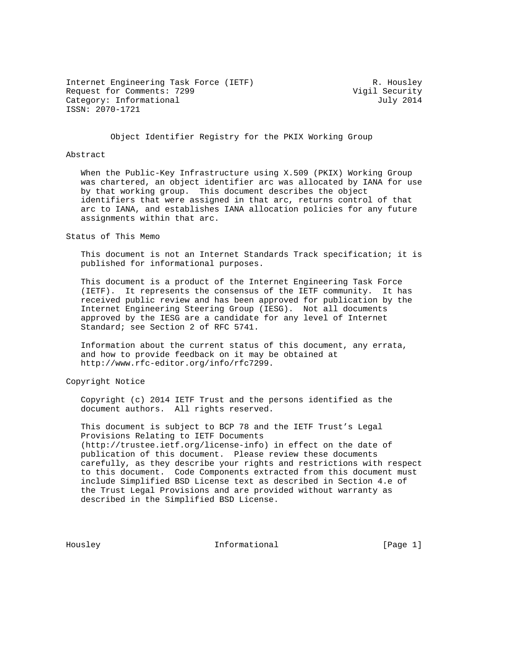Internet Engineering Task Force (IETF) R. Housley Request for Comments: 7299 Vigil Security Category: Informational distribution of the United Stategory: United Stategory: United Stategory: United Stategory ISSN: 2070-1721

Object Identifier Registry for the PKIX Working Group

#### Abstract

 When the Public-Key Infrastructure using X.509 (PKIX) Working Group was chartered, an object identifier arc was allocated by IANA for use by that working group. This document describes the object identifiers that were assigned in that arc, returns control of that arc to IANA, and establishes IANA allocation policies for any future assignments within that arc.

Status of This Memo

 This document is not an Internet Standards Track specification; it is published for informational purposes.

 This document is a product of the Internet Engineering Task Force (IETF). It represents the consensus of the IETF community. It has received public review and has been approved for publication by the Internet Engineering Steering Group (IESG). Not all documents approved by the IESG are a candidate for any level of Internet Standard; see Section 2 of RFC 5741.

 Information about the current status of this document, any errata, and how to provide feedback on it may be obtained at http://www.rfc-editor.org/info/rfc7299.

Copyright Notice

 Copyright (c) 2014 IETF Trust and the persons identified as the document authors. All rights reserved.

 This document is subject to BCP 78 and the IETF Trust's Legal Provisions Relating to IETF Documents (http://trustee.ietf.org/license-info) in effect on the date of publication of this document. Please review these documents carefully, as they describe your rights and restrictions with respect to this document. Code Components extracted from this document must include Simplified BSD License text as described in Section 4.e of the Trust Legal Provisions and are provided without warranty as described in the Simplified BSD License.

Housley **Informational** [Page 1]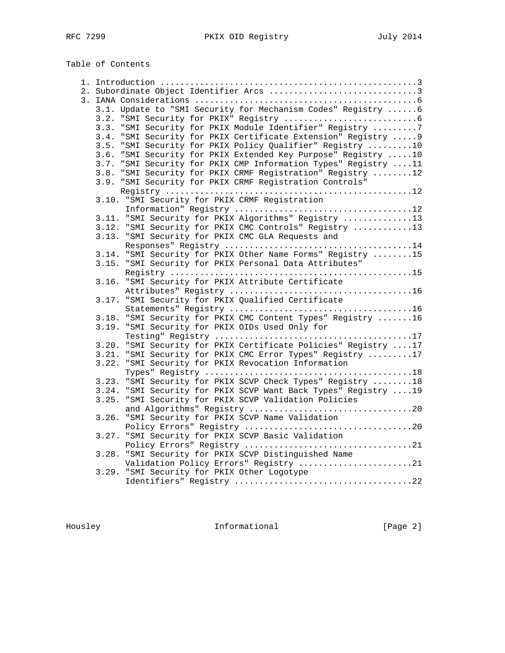# Table of Contents

|       | 2. Subordinate Object Identifier Arcs 3                                                                          |
|-------|------------------------------------------------------------------------------------------------------------------|
|       |                                                                                                                  |
|       | 3.1. Update to "SMI Security for Mechanism Codes" Registry 6                                                     |
|       |                                                                                                                  |
|       | 3.3. "SMI Security for PKIX Module Identifier" Registry 7                                                        |
|       | 3.4. "SMI Security for PKIX Certificate Extension" Registry  9                                                   |
|       | 3.5. "SMI Security for PKIX Policy Qualifier" Registry 10                                                        |
|       | 3.6. "SMI Security for PKIX Extended Key Purpose" Registry 10                                                    |
|       | 3.7. "SMI Security for PKIX CMP Information Types" Registry 11                                                   |
|       | 3.8. "SMI Security for PKIX CRMF Registration" Registry 12                                                       |
|       | 3.9. "SMI Security for PKIX CRMF Registration Controls"                                                          |
|       |                                                                                                                  |
|       | 3.10. "SMI Security for PKIX CRMF Registration                                                                   |
|       |                                                                                                                  |
|       | 3.11. "SMI Security for PKIX Algorithms" Registry 13                                                             |
|       | 3.12. "SMI Security for PKIX CMC Controls" Registry 13                                                           |
|       | 3.13. "SMI Security for PKIX CMC GLA Requests and                                                                |
|       |                                                                                                                  |
|       | 3.14. "SMI Security for PKIX Other Name Forms" Registry 15                                                       |
|       | 3.15. "SMI Security for PKIX Personal Data Attributes"                                                           |
|       |                                                                                                                  |
|       | 3.16. "SMI Security for PKIX Attribute Certificate                                                               |
|       |                                                                                                                  |
|       | 3.17. "SMI Security for PKIX Qualified Certificate                                                               |
|       |                                                                                                                  |
|       | 3.18. "SMI Security for PKIX CMC Content Types" Registry 16                                                      |
|       | 3.19. "SMI Security for PKIX OIDs Used Only for                                                                  |
|       |                                                                                                                  |
|       | 3.20. "SMI Security for PKIX Certificate Policies" Registry 17                                                   |
|       | 3.21. "SMI Security for PKIX CMC Error Types" Registry 17<br>3.22. "SMI Security for PKIX Revocation Information |
|       |                                                                                                                  |
|       | 3.23. "SMI Security for PKIX SCVP Check Types" Registry  18                                                      |
|       | 3.24. "SMI Security for PKIX SCVP Want Back Types" Registry  19                                                  |
|       | 3.25. "SMI Security for PKIX SCVP Validation Policies                                                            |
|       |                                                                                                                  |
|       | 3.26. "SMI Security for PKIX SCVP Name Validation                                                                |
|       |                                                                                                                  |
|       | 3.27. "SMI Security for PKIX SCVP Basic Validation                                                               |
|       |                                                                                                                  |
| 3.28. | "SMI Security for PKIX SCVP Distinguished Name                                                                   |
|       | Validation Policy Errors" Registry 21                                                                            |
|       | 3.29. "SMI Security for PKIX Other Logotype                                                                      |
|       |                                                                                                                  |
|       |                                                                                                                  |

Housley **Informational** [Page 2]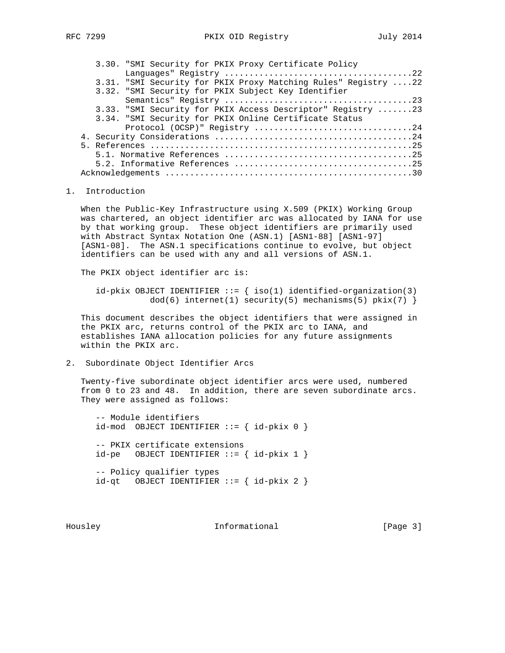|  | 3.30. "SMI Security for PKIX Proxy Certificate Policy           |  |  |  |  |
|--|-----------------------------------------------------------------|--|--|--|--|
|  |                                                                 |  |  |  |  |
|  | 3.31. "SMI Security for PKIX Proxy Matching Rules" Registry  22 |  |  |  |  |
|  | 3.32. "SMI Security for PKIX Subject Key Identifier             |  |  |  |  |
|  |                                                                 |  |  |  |  |
|  | 3.33. "SMI Security for PKIX Access Descriptor" Registry 23     |  |  |  |  |
|  | 3.34. "SMI Security for PKIX Online Certificate Status          |  |  |  |  |
|  |                                                                 |  |  |  |  |
|  |                                                                 |  |  |  |  |
|  |                                                                 |  |  |  |  |
|  |                                                                 |  |  |  |  |
|  |                                                                 |  |  |  |  |
|  |                                                                 |  |  |  |  |

#### 1. Introduction

 When the Public-Key Infrastructure using X.509 (PKIX) Working Group was chartered, an object identifier arc was allocated by IANA for use by that working group. These object identifiers are primarily used with Abstract Syntax Notation One (ASN.1) [ASN1-88] [ASN1-97] [ASN1-08]. The ASN.1 specifications continue to evolve, but object identifiers can be used with any and all versions of ASN.1.

The PKIX object identifier arc is:

 $id$ -pkix OBJECT IDENTIFIER ::= { iso(1) identified-organization(3)  $dod(6)$  internet(1) security(5) mechanisms(5) pkix(7) }

 This document describes the object identifiers that were assigned in the PKIX arc, returns control of the PKIX arc to IANA, and establishes IANA allocation policies for any future assignments within the PKIX arc.

2. Subordinate Object Identifier Arcs

 Twenty-five subordinate object identifier arcs were used, numbered from 0 to 23 and 48. In addition, there are seven subordinate arcs. They were assigned as follows:

 -- Module identifiers id-mod OBJECT IDENTIFIER ::= { id-pkix 0 } -- PKIX certificate extensions  $id-pe$  OBJECT IDENTIFIER  $:= \{ id-pkix 1 \}$  -- Policy qualifier types  $id-qt$  OBJECT IDENTIFIER ::= {  $id-pkix 2$  }

Housley **Informational** [Page 3]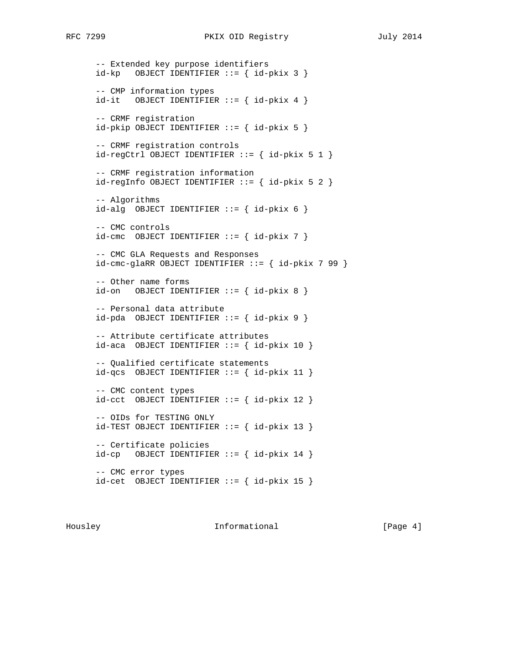```
 -- Extended key purpose identifiers
id-kp OBJECT IDENTIFIER ::= { id-pkix 3 }
 -- CMP information types
id-it OBJECT IDENTIFIER := \{ id-pkix 4 \} -- CRMF registration
id-pkip OBJECT IDENTIFIER ::= { id-pkix 5 }
 -- CRMF registration controls
id-regCtrl OBJECT IDENTIFIER ::= { id-pkix 5 1 }
 -- CRMF registration information
id-regInfo OBJECT IDENTIFIER ::= { id-pkix 5 2 } -- Algorithms
id-alg OBJECT IDENTIFIER := \{ id-pkix 6 \} -- CMC controls
id-cmc OBJECT IDENTIFIER ::= { id-pkix 7 }
 -- CMC GLA Requests and Responses
id-cmc-glaRR OBJECT IDENTIFIER :: { id-pkix 7 99 }
 -- Other name forms
id-on OBJECT IDENTIFIER ::= { id-pkix 8 }
 -- Personal data attribute
id-pda OBJECT IDENTIFIER ::= { id-pkix 9 }
 -- Attribute certificate attributes
id-aca OBJECT IDENTIFIER ::= { id-pkix 10 }
 -- Qualified certificate statements
id-qcs OBJECT IDENTIFIER ::= { id-pkix 11 }
 -- CMC content types
id-cct OBJECT IDENTIFIER ::= \{ id-pkix 12 \} -- OIDs for TESTING ONLY
 id-TEST OBJECT IDENTIFIER ::= { id-pkix 13 }
 -- Certificate policies
id-cp OBJECT IDENTIFIER ::= { id-pkix 14 }
 -- CMC error types
 id-cet OBJECT IDENTIFIER ::= { id-pkix 15 }
```
Housley **Informational** [Page 4]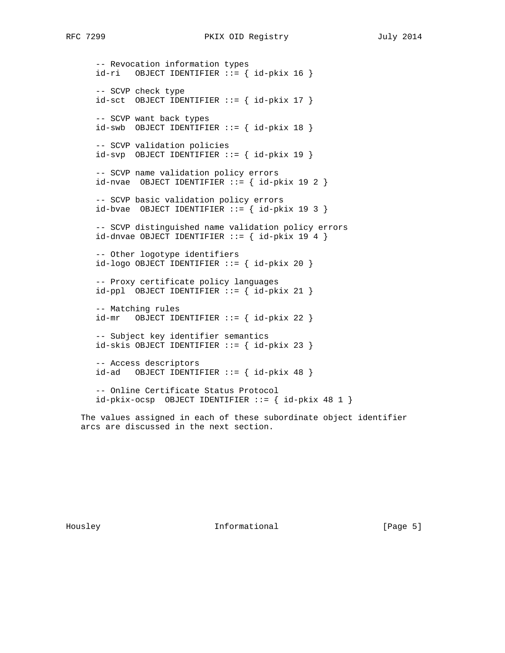```
 -- Revocation information types
 id-ri OBJECT IDENTIFIER ::= { id-pkix 16 }
 -- SCVP check type
 id-sct OBJECT IDENTIFIER ::= { id-pkix 17 }
 -- SCVP want back types
id-swb OBJECT IDENTIFIER ::= { id-pkix 18 }
 -- SCVP validation policies
 id-svp OBJECT IDENTIFIER ::= { id-pkix 19 }
 -- SCVP name validation policy errors
id-nvae OBJECT IDENTIFIER := \{ id - \text{pkix } 19 \ 2 \} -- SCVP basic validation policy errors
id-bvae OBJECT IDENTIFIER ::= \{ id-pkix 19 3 \} -- SCVP distinguished name validation policy errors
id-dnvae OBJECT IDENTIFIER ::= \{ id-pkix 19 4 \} -- Other logotype identifiers
 id-logo OBJECT IDENTIFIER ::= { id-pkix 20 }
 -- Proxy certificate policy languages
id-ppl OBJECT IDENTIFIER ::= { id-pkix 21 }
 -- Matching rules
id-mr OBJECT IDENTIFIER ::= { id-pkix 22 }
 -- Subject key identifier semantics
id\text{-}skis OBJECT IDENTIFYER ::= \{ id\text{-}pkix 23 } -- Access descriptors
id-ad OBJECT IDENTIFIER ::= { id-pkix 48 }
 -- Online Certificate Status Protocol
id-pkix-ocsp OBJECT IDENTIFIER  ::= \{ id-pkix 48 1 \}
```
 The values assigned in each of these subordinate object identifier arcs are discussed in the next section.

Housley **Informational** [Page 5]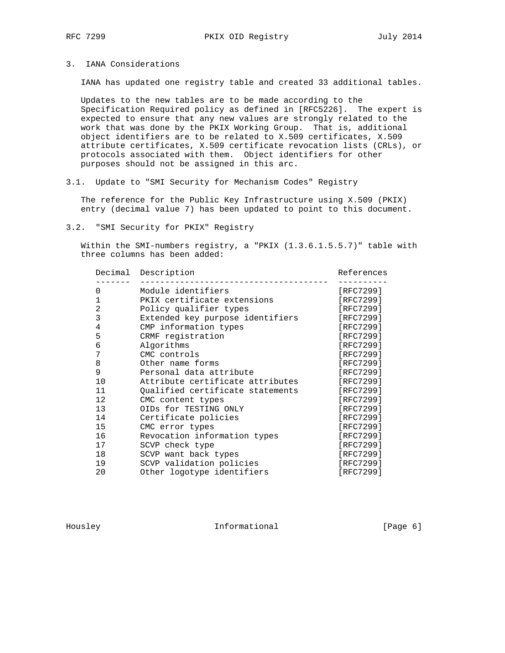### 3. IANA Considerations

IANA has updated one registry table and created 33 additional tables.

 Updates to the new tables are to be made according to the Specification Required policy as defined in [RFC5226]. The expert is expected to ensure that any new values are strongly related to the work that was done by the PKIX Working Group. That is, additional object identifiers are to be related to X.509 certificates, X.509 attribute certificates, X.509 certificate revocation lists (CRLs), or protocols associated with them. Object identifiers for other purposes should not be assigned in this arc.

3.1. Update to "SMI Security for Mechanism Codes" Registry

 The reference for the Public Key Infrastructure using X.509 (PKIX) entry (decimal value 7) has been updated to point to this document.

3.2. "SMI Security for PKIX" Registry

 Within the SMI-numbers registry, a "PKIX (1.3.6.1.5.5.7)" table with three columns has been added:

| Description                      | References |
|----------------------------------|------------|
| Module identifiers               | [RFC7299]  |
| PKIX certificate extensions      | [RFC7299]  |
| Policy qualifier types           | [RFC7299]  |
| Extended key purpose identifiers | [RFC7299]  |
| CMP information types            | [RFC7299]  |
| CRMF registration                | [RFC7299]  |
| Algorithms                       | [RFC7299]  |
| CMC controls                     | [RFC7299]  |
| Other name forms                 | [RFC7299]  |
| Personal data attribute          | [RFC7299]  |
| Attribute certificate attributes | [RFC7299]  |
| Qualified certificate statements | [RFC7299]  |
| CMC content types                | [RFC7299]  |
| OIDs for TESTING ONLY            | [RFC7299]  |
| Certificate policies             | [RFC7299]  |
| CMC error types                  | [RFC7299]  |
| Revocation information types     | [RFC7299]  |
| SCVP check type                  | [RFC7299]  |
| SCVP want back types             | [RFC7299]  |
| SCVP validation policies         | [RFC7299]  |
| Other logotype identifiers       | [RFC7299]  |
|                                  |            |

Housley **Informational** [Page 6]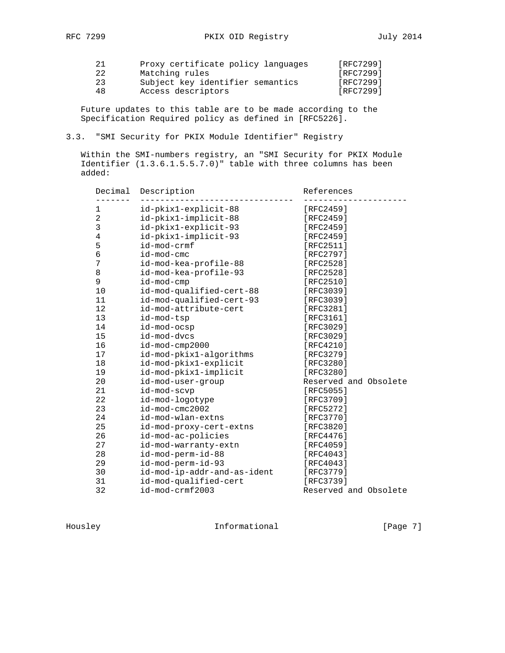|    | Proxy certificate policy languages | [RFC7299] |
|----|------------------------------------|-----------|
| 22 | Matching rules                     | [RFC7299] |
| 23 | Subject key identifier semantics   | [RFC7299] |
| 48 | Access descriptors                 | [RFC7299] |

 Future updates to this table are to be made according to the Specification Required policy as defined in [RFC5226].

### 3.3. "SMI Security for PKIX Module Identifier" Registry

 Within the SMI-numbers registry, an "SMI Security for PKIX Module Identifier (1.3.6.1.5.5.7.0)" table with three columns has been added:

| Decimal<br>. | Description                 | References            |
|--------------|-----------------------------|-----------------------|
| 1            | id-pkix1-explicit-88        | [RFC2459]             |
| 2            | id-pkix1-implicit-88        | [RFC2459]             |
| 3            | id-pkix1-explicit-93        | [RFC2459]             |
| 4            | id-pkix1-implicit-93        | [RFC2459]             |
| 5            | id-mod-crmf                 | [RFC2511]             |
| 6            | id-mod-cmc                  | [RFC2797]             |
| 7            | id-mod-kea-profile-88       | [RFC2528]             |
| 8            | id-mod-kea-profile-93       | [RFC2528]             |
| 9            | id-mod-cmp                  | $[RFC2510]$           |
| 10           | id-mod-qualified-cert-88    | [RFC3039]             |
| 11           | id-mod-qualified-cert-93    | [RFC3039]             |
| 12           | id-mod-attribute-cert       | [RFC3281]             |
| 13           | id-mod-tsp                  | [RFC3161]             |
| 14           | id-mod-ocsp                 | [RFC3029]             |
| 15           | id-mod-dvcs                 | [RFC3029]             |
| 16           | id-mod-cmp2000              | [RFC4210]             |
| 17           | id-mod-pkix1-algorithms     | [RFC3279]             |
| 18           | id-mod-pkix1-explicit       | [RFC3280]             |
| 19           | id-mod-pkix1-implicit       | [RFC3280]             |
| 20           | id-mod-user-group           | Reserved and Obsolete |
| 21           | id-mod-scvp                 | $[RFC5055]$           |
| 22           | id-mod-logotype             | [RFC3709]             |
| 23           | $id$ -mod-cmc $2002$        | [RFC5272]             |
| 24           | id-mod-wlan-extns           | [RFC3770]             |
| 25           | id-mod-proxy-cert-extns     | [RFC3820]             |
| 26           | id-mod-ac-policies          | [RFC4476]             |
| 27           | id-mod-warranty-extn        | [RFC4059]             |
| 28           | id-mod-perm-id-88           | [RFC4043]             |
| 29           | id-mod-perm-id-93           | [RFC4043]             |
| 30           | id-mod-ip-addr-and-as-ident | [RFC3779]             |
| 31           | id-mod-qualified-cert       | [RFC3739]             |
| 32           | id-mod-crmf2003             | Reserved and Obsolete |

Housley Informational [Page 7]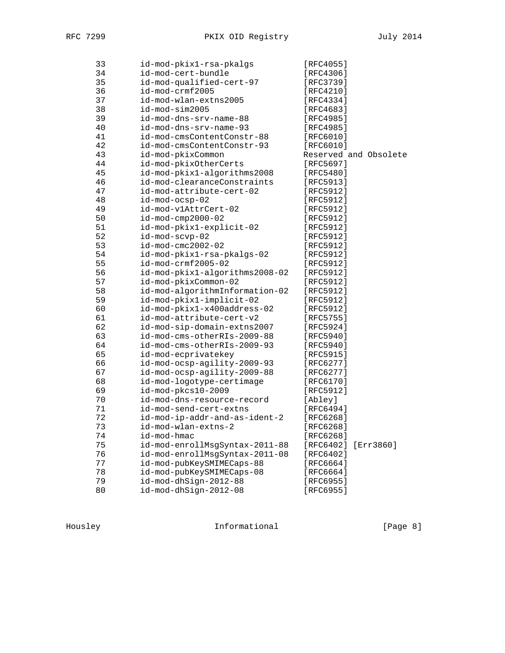| 33 | id-mod-pkix1-rsa-pkalgs        | [RFC4055]              |
|----|--------------------------------|------------------------|
| 34 | id-mod-cert-bundle             | [RFC4306]              |
| 35 | id-mod-qualified-cert-97       | [RFC3739]              |
| 36 | id-mod-crmf2005                | [RFC4210]              |
| 37 | id-mod-wlan-extns2005          | [RFC4334]              |
| 38 | id-mod-sim2005                 | [RFC4683]              |
| 39 | id-mod-dns-srv-name-88         | [RFC4985]              |
| 40 | id-mod-dns-srv-name-93         | [RFC4985]              |
| 41 | id-mod-cmsContentConstr-88     | [RFC6010]              |
| 42 | id-mod-cmsContentConstr-93     | [RFC6010]              |
| 43 | id-mod-pkixCommon              | Reserved and Obsolete  |
| 44 | id-mod-pkixOtherCerts          | [RFC5697]              |
| 45 | id-mod-pkix1-algorithms2008    | [RFC5480]              |
| 46 | id-mod-clearanceConstraints    | [RFC5913]              |
| 47 | id-mod-attribute-cert-02       | [RFC5912]              |
| 48 | id-mod-ocsp-02                 | [RFC5912]              |
| 49 | id-mod-v1AttrCert-02           | [RFC5912]              |
| 50 | $id$ -mod-cmp2000-02           | [RFC5912]              |
| 51 | id-mod-pkix1-explicit-02       | [RFC5912]              |
| 52 | id-mod-scvp-02                 | [RFC5912]              |
| 53 | $id$ -mod-cmc $2002$ -02       | [RFC5912]              |
| 54 | id-mod-pkix1-rsa-pkalgs-02     | [RFC5912]              |
| 55 | id-mod-crmf2005-02             | [RFC5912]              |
| 56 | id-mod-pkix1-algorithms2008-02 | [RFC5912]              |
| 57 | id-mod-pkixCommon-02           | [RFC5912]              |
| 58 | id-mod-algorithmInformation-02 | [RFC5912]              |
| 59 | id-mod-pkix1-implicit-02       | [RFC5912]              |
| 60 | id-mod-pkix1-x400address-02    | [RFC5912]              |
| 61 | id-mod-attribute-cert-v2       | [RFC5755]              |
| 62 | id-mod-sip-domain-extns2007    | [RFC5924]              |
| 63 | id-mod-cms-otherRIs-2009-88    | [RFC5940]              |
| 64 | id-mod-cms-otherRIs-2009-93    | [RFC5940]              |
| 65 | id-mod-ecprivatekey            | [RFC5915]              |
| 66 | id-mod-ocsp-agility-2009-93    | [RFC6277]              |
| 67 | id-mod-ocsp-agility-2009-88    | [RFC6277]              |
| 68 | id-mod-logotype-certimage      | [RFC6170]              |
| 69 | id-mod-pkcs10-2009             | [RFC5912]              |
| 70 | id-mod-dns-resource-record     | [Abley]                |
| 71 | id-mod-send-cert-extns         | [RFC6494]              |
| 72 | id-mod-ip-addr-and-as-ident-2  | [RFC6268]              |
| 73 | id-mod-wlan-extns-2            | [RFC6268]              |
| 74 | id-mod-hmac                    | [RFC6268]              |
| 75 | id-mod-enrollMsgSyntax-2011-88 | [RFC6402]<br>[Err3860] |
| 76 | id-mod-enrollMsgSyntax-2011-08 | [RFC6402]              |
| 77 | id-mod-pubKeySMIMECaps-88      | [RFC6664]              |
| 78 | id-mod-pubKeySMIMECaps-08      | [RFC6664]              |
| 79 | id-mod-dhSign-2012-88          | [RFC6955]              |
| 80 | id-mod-dhSign-2012-08          | [RFC6955]              |

Housley **Informational** [Page 8]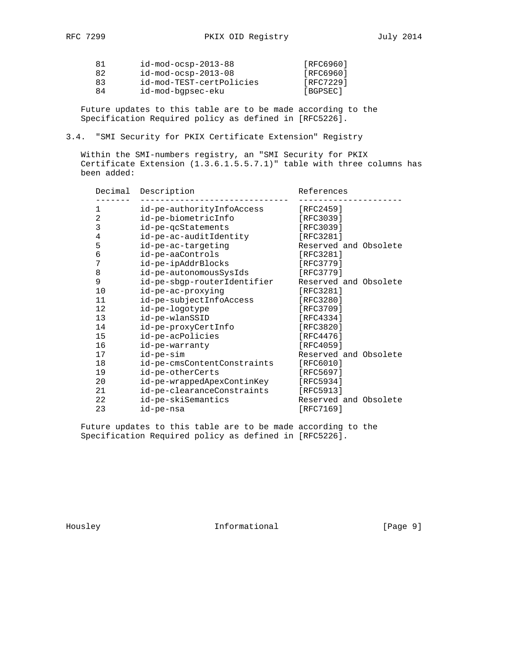| 81 | $id$ -mod-ocsp-2013-88   | [RFC6960] |
|----|--------------------------|-----------|
| 82 | $id$ -mod-ocsp-2013-08   | [RFC6960] |
| 83 | id-mod-TEST-certPolicies | [RFC7229] |
| 84 | id-mod-bgpsec-eku        | [BGPSEC]  |
|    |                          |           |

 Future updates to this table are to be made according to the Specification Required policy as defined in [RFC5226].

3.4. "SMI Security for PKIX Certificate Extension" Registry

 Within the SMI-numbers registry, an "SMI Security for PKIX Certificate Extension (1.3.6.1.5.5.7.1)" table with three columns has been added:

| Decimal        | Description                 | References            |
|----------------|-----------------------------|-----------------------|
| 1              | id-pe-authorityInfoAccess   | [RFC2459]             |
| $\overline{2}$ | id-pe-biometricInfo         | [RFC3039]             |
| 3              | id-pe-qcStatements          | [RFC3039]             |
| 4              | id-pe-ac-auditIdentity      | [RFC3281]             |
| 5              | id-pe-ac-targeting          | Reserved and Obsolete |
| 6              | id-pe-aaControls            | [RFC3281]             |
| 7              | id-pe-ipAddrBlocks          | [RFC3779]             |
| 8              | id-pe-autonomousSysIds      | [RFC3779]             |
| 9              | id-pe-sbgp-routerIdentifier | Reserved and Obsolete |
| 10             | id-pe-ac-proxying           | [RFC3281]             |
| 11             | id-pe-subjectInfoAccess     | [RFC3280]             |
| 12             | id-pe-logotype              | [RFC3709]             |
| 13             | id-pe-wlanSSID              | [RFC4334]             |
| 14             | id-pe-proxyCertInfo         | [RFC3820]             |
| 15             | id-pe-acPolicies            | [RFC4476]             |
| 16             | id-pe-warranty              | [RFC4059]             |
| 17             | id-pe-sim                   | Reserved and Obsolete |
| 18             | id-pe-cmsContentConstraints | [REC6010]             |
| 19             | id-pe-otherCerts            | [RFC5697]             |
| 20             | id-pe-wrappedApexContinKey  | [RFC5934]             |
| 21             | id-pe-clearanceConstraints  | [RFC5913]             |
| 22             | id-pe-skiSemantics          | Reserved and Obsolete |
| 23             | id-pe-nsa                   | [RFC7169]             |

 Future updates to this table are to be made according to the Specification Required policy as defined in [RFC5226].

Housley Informational [Page 9]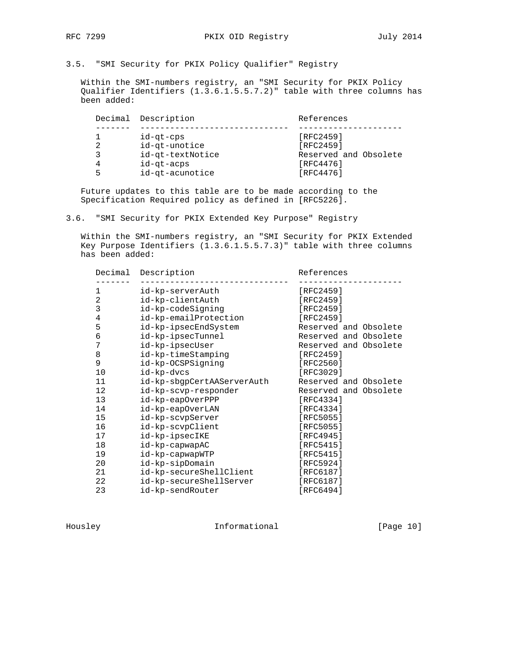3.5. "SMI Security for PKIX Policy Qualifier" Registry

 Within the SMI-numbers registry, an "SMI Security for PKIX Policy Qualifier Identifiers (1.3.6.1.5.5.7.2)" table with three columns has been added:

|                | Decimal Description | References            |
|----------------|---------------------|-----------------------|
|                |                     |                       |
|                | id-gt-cps           | [RFC2459]             |
| 2              | id-qt-unotice       | [RFC2459]             |
| 3              | id-qt-textNotice    | Reserved and Obsolete |
| $\overline{4}$ | id-gt-acps          | [RFC4476]             |
| 5              | id-qt-acunotice     | [RFC4476]             |

 Future updates to this table are to be made according to the Specification Required policy as defined in [RFC5226].

3.6. "SMI Security for PKIX Extended Key Purpose" Registry

 Within the SMI-numbers registry, an "SMI Security for PKIX Extended Key Purpose Identifiers (1.3.6.1.5.5.7.3)" table with three columns has been added:

| Decimal        | Description                | References            |
|----------------|----------------------------|-----------------------|
| 1              | id-kp-serverAuth           | [RFC2459]             |
| 2              | id-kp-clientAuth           | [RFC2459]             |
| 3              | id-kp-codeSigning          | [RFC2459]             |
| $\overline{4}$ | id-kp-emailProtection      | [RFC2459]             |
| 5              | id-kp-ipsecEndSystem       | Reserved and Obsolete |
| 6              | id-kp-ipsecTunnel          | Reserved and Obsolete |
| 7              | id-kp-ipsecUser            | Reserved and Obsolete |
| 8              | id-kp-timeStamping         | [RFC2459]             |
| 9              | id-kp-OCSPSigning          | [RFC2560]             |
| 10             | id-kp-dvcs                 | [RFC3029]             |
| 11             | id-kp-sbgpCertAAServerAuth | Reserved and Obsolete |
| 12             | id-kp-scvp-responder       | Reserved and Obsolete |
| 13             | id-kp-eapOverPPP           | [ $RFC4334$ ]         |
| 14             | id-kp-eapOverLAN           | [RFC4334]             |
| 15             | id-kp-scvpServer           | [RFC5055]             |
| 16             | id-kp-scvpClient           | [RFC5055]             |
| 17             | id-kp-ipsecIKE             | [RFC4945]             |
| 18             | id-kp-capwapAC             | [RFC5415]             |
| 19             | id-kp-capwapWTP            | [RFC5415]             |
| 20             | id-kp-sipDomain            | [RFC5924]             |
| 21             | id-kp-secureShellClient    | [RFC6187]             |
| 22             | id-kp-secureShellServer    | [RFC6187]             |
| 23             | id-kp-sendRouter           | [RFC6494]             |

Housley **Informational** [Page 10]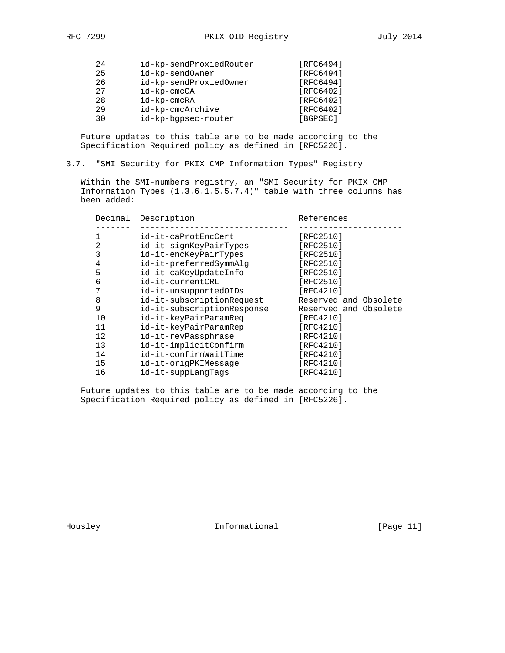| 2.4 | id-kp-sendProxiedRouter | [RFC6494]        |
|-----|-------------------------|------------------|
| 25  | id-kp-sendOwner         | [RFC6494]        |
| 26  | id-kp-sendProxiedOwner  | [RFC6494]        |
| 27  | id-kp-cmcCA             | <b>[RFC6402]</b> |
| 28  | id-kp-cmcRA             | [RFC6402]        |
| 29  | id-kp-cmcArchive        | <b>[RFC6402]</b> |
| 30  | id-kp-bqpsec-router     | [BGPSEC]         |

 Future updates to this table are to be made according to the Specification Required policy as defined in [RFC5226].

# 3.7. "SMI Security for PKIX CMP Information Types" Registry

 Within the SMI-numbers registry, an "SMI Security for PKIX CMP Information Types (1.3.6.1.5.5.7.4)" table with three columns has been added:

| Decimal | Description                | References            |
|---------|----------------------------|-----------------------|
|         | id-it-caProtEncCert        | [RFC2510]             |
| 2       | id-it-signKeyPairTypes     | [RFC2510]             |
| 3       | id-it-encKeyPairTypes      | [RFC2510]             |
| 4       | id-it-preferredSymmAlq     | [RFC2510]             |
| 5       | id-it-caKeyUpdateInfo      | [RFC2510]             |
| 6       | id-it-currentCRL           | [RFC2510]             |
| 7       | id-it-unsupportedOIDs      | [RFC4210]             |
| 8       | id-it-subscriptionRequest  | Reserved and Obsolete |
| 9       | id-it-subscriptionResponse | Reserved and Obsolete |
| 10      | id-it-keyPairParamReq      | [RFC4210]             |
| 11      | id-it-keyPairParamRep      | [RFC4210]             |
| 12      | id-it-revPassphrase        | [RFC4210]             |
| 13      | id-it-implicitConfirm      | [RFC4210]             |
| 14      | id-it-confirmWaitTime      | [RFC4210]             |
| 15      | id-it-origPKIMessage       | [RFC4210]             |
| 16      | id-it-suppLangTags         | [RFC4210]             |
|         |                            |                       |

 Future updates to this table are to be made according to the Specification Required policy as defined in [RFC5226].

Housley **Informational** [Page 11]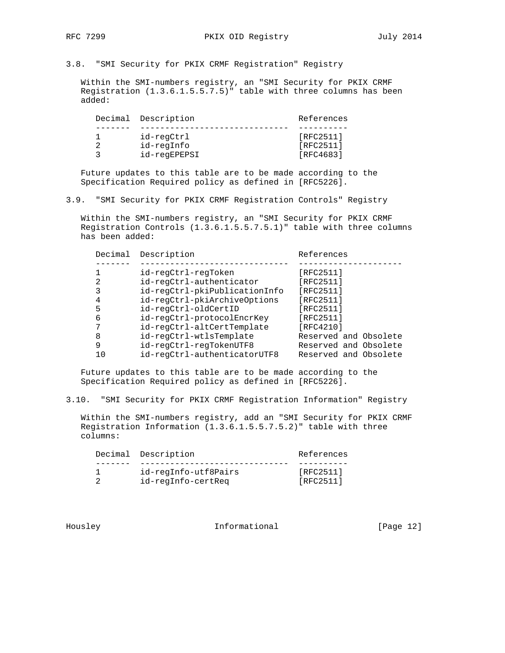3.8. "SMI Security for PKIX CRMF Registration" Registry

 Within the SMI-numbers registry, an "SMI Security for PKIX CRMF Registration (1.3.6.1.5.5.7.5)" table with three columns has been added:

|  | Decimal Description | References |
|--|---------------------|------------|
|  |                     |            |
|  | id-reqCtrl          | [RFC2511]  |
|  | id-regInfo          | [RFC2511]  |
|  | id-reqEPEPSI        | [RFC4683]  |

 Future updates to this table are to be made according to the Specification Required policy as defined in [RFC5226].

3.9. "SMI Security for PKIX CRMF Registration Controls" Registry

 Within the SMI-numbers registry, an "SMI Security for PKIX CRMF Registration Controls (1.3.6.1.5.5.7.5.1)" table with three columns has been added:

| Decimal | Description                   | References            |
|---------|-------------------------------|-----------------------|
|         |                               |                       |
|         | id-regCtrl-regToken           | [RFC2511]             |
| 2       | id-regCtrl-authenticator      | [RFC2511]             |
| 3       | id-regCtrl-pkiPublicationInfo | [RFC2511]             |
| 4       | id-regCtrl-pkiArchiveOptions  | [RFC2511]             |
| 5       | id-reqCtrl-oldCertID          | [RFC2511]             |
| 6       | id-regCtrl-protocolEncrKey    | [RFC2511]             |
| 7       | id-reqCtrl-altCertTemplate    | [RFC4210]             |
| 8       | id-reqCtrl-wtlsTemplate       | Reserved and Obsolete |
| 9       | id-regCtrl-regTokenUTF8       | Reserved and Obsolete |
|         | id-reqCtrl-authenticatorUTF8  | Reserved and Obsolete |

 Future updates to this table are to be made according to the Specification Required policy as defined in [RFC5226].

3.10. "SMI Security for PKIX CRMF Registration Information" Registry

 Within the SMI-numbers registry, add an "SMI Security for PKIX CRMF Registration Information (1.3.6.1.5.5.7.5.2)" table with three columns:

|  | Decimal Description  | References |
|--|----------------------|------------|
|  |                      |            |
|  | id-regInfo-utf8Pairs | [RFC2511]  |
|  | id-regInfo-certReg   | [RFC2511]  |
|  |                      |            |

Housley **Informational** [Page 12]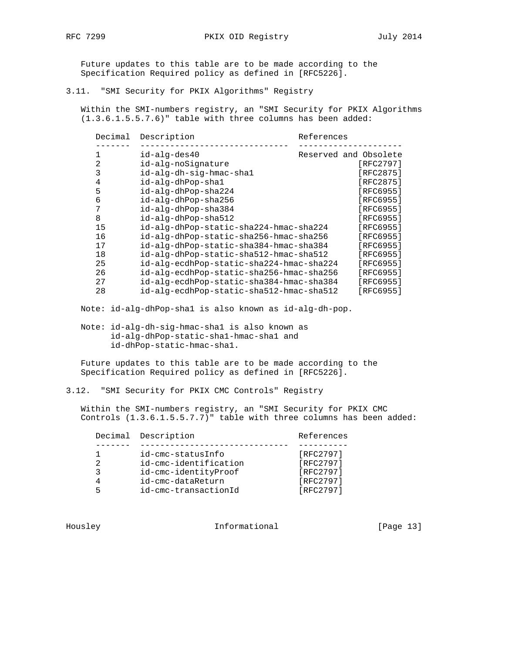Future updates to this table are to be made according to the Specification Required policy as defined in [RFC5226].

3.11. "SMI Security for PKIX Algorithms" Registry

 Within the SMI-numbers registry, an "SMI Security for PKIX Algorithms (1.3.6.1.5.5.7.6)" table with three columns has been added:

| Decimal | Description                              | References |                       |
|---------|------------------------------------------|------------|-----------------------|
|         | id-alg-des40                             |            | Reserved and Obsolete |
| 2       | id-alg-noSignature                       |            | [RFC2797]             |
| 3       | id-alg-dh-sig-hmac-shal                  |            | [RFC2875]             |
| 4       | id-alg-dhPop-shal                        |            | [RFC2875]             |
| 5       | id-alg-dhPop-sha224                      |            | [RFC6955]             |
| 6       | id-alg-dhPop-sha256                      |            | [RFC6955]             |
| 7       | id-alg-dhPop-sha384                      |            | [RFC6955]             |
| 8       | id-alg-dhPop-sha512                      |            | [RFC6955]             |
| 15      | id-alg-dhPop-static-sha224-hmac-sha224   |            | [RFC6955]             |
| 16      | id-alg-dhPop-static-sha256-hmac-sha256   |            | [RFC6955]             |
| 17      | id-alg-dhPop-static-sha384-hmac-sha384   |            | [RFC6955]             |
| 18      | id-alg-dhPop-static-sha512-hmac-sha512   |            | [RFC6955]             |
| 25      | id-alg-ecdhPop-static-sha224-hmac-sha224 |            | [RFC6955]             |
| 26      | id-alg-ecdhPop-static-sha256-hmac-sha256 |            | [RFC6955]             |
| 27      | id-alg-ecdhPop-static-sha384-hmac-sha384 |            | [RFC6955]             |
| 28      | id-alg-ecdhPop-static-sha512-hmac-sha512 |            | [RFC6955]             |

Note: id-alg-dhPop-sha1 is also known as id-alg-dh-pop.

 Note: id-alg-dh-sig-hmac-sha1 is also known as id-alg-dhPop-static-sha1-hmac-sha1 and id-dhPop-static-hmac-sha1.

 Future updates to this table are to be made according to the Specification Required policy as defined in [RFC5226].

3.12. "SMI Security for PKIX CMC Controls" Registry

 Within the SMI-numbers registry, an "SMI Security for PKIX CMC Controls (1.3.6.1.5.5.7.7)" table with three columns has been added:

|   | Decimal Description   | References |
|---|-----------------------|------------|
|   |                       |            |
|   | id-cmc-statusInfo     | [RFC2797]  |
| 2 | id-cmc-identification | [RFC2797]  |
|   | id-cmc-identityProof  | [RFC2797]  |
|   | id-cmc-dataReturn     | [RFC2797]  |
| ᄃ | id-cmc-transactionId  | [RFC2797]  |

Housley **Informational** [Page 13]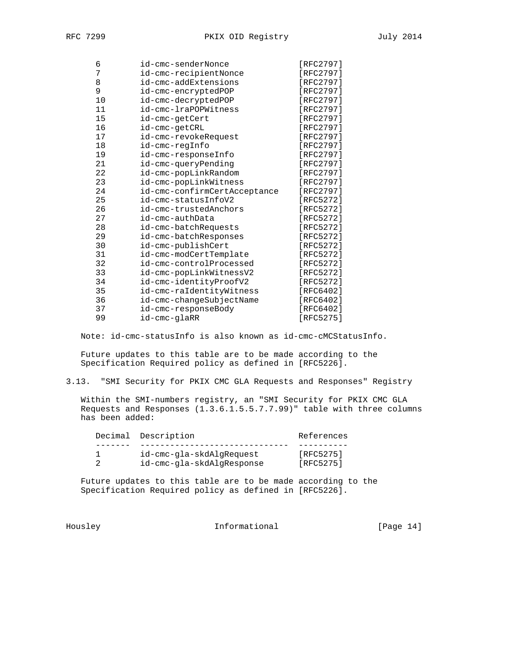| 6    | id-cmc-senderNonce           | [RFC2797]     |
|------|------------------------------|---------------|
| 7    | id-cmc-recipientNonce        | [RFC2797]     |
| 8    | id-cmc-addExtensions         | [RFC2797]     |
| 9    | id-cmc-encryptedPOP          | [RFC2797]     |
| $10$ | id-cmc-decryptedPOP          | [RFC2797]     |
| 11   | id-cmc-lraPOPWitness         | [RFC2797]     |
| 15   | id-cmc-getCert               | [RFC2797]     |
| 16   | id-cmc-getCRL                | [RFC2797]     |
| 17   | id-cmc-revokeRequest         | [RFC2797]     |
| 18   | id-cmc-regInfo               | [RFC2797]     |
| 19   | id-cmc-responseInfo          | [RFC2797]     |
| 21   | id-cmc-queryPending          | [RFC2797]     |
| 22   | id-cmc-popLinkRandom         | [RFC2797]     |
| 23   | id-cmc-popLinkWitness        | [RFC2797]     |
| 24   | id-cmc-confirmCertAcceptance | [RFC2797]     |
| 25   | id-cmc-statusInfoV2          | [RFC5272]     |
| 26   | id-cmc-trustedAnchors        | [RFC5272]     |
| 27   | id-cmc-authData              | [RFC5272]     |
| 28   | id-cmc-batchRequests         | [RFC5272]     |
| 29   | id-cmc-batchResponses        | [RFC5272]     |
| 30   | id-cmc-publishCert           | [RFC5272]     |
| 31   | id-cmc-modCertTemplate       | [RFC5272]     |
| 32   | id-cmc-controlProcessed      | [RFC5272]     |
| 33   | id-cmc-popLinkWitnessV2      | [RFC5272]     |
| 34   | id-cmc-identityProofV2       | [RFC5272]     |
| 35   | id-cmc-raIdentityWitness     | [ $RFC6402$ ] |
| 36   | id-cmc-changeSubjectName     | [ $RFC6402$ ] |
| 37   | id-cmc-responseBody          | [RFC6402]     |
| 99   | id-cmc-glaRR                 | [RFC5275]     |

Note: id-cmc-statusInfo is also known as id-cmc-cMCStatusInfo.

 Future updates to this table are to be made according to the Specification Required policy as defined in [RFC5226].

3.13. "SMI Security for PKIX CMC GLA Requests and Responses" Registry

 Within the SMI-numbers registry, an "SMI Security for PKIX CMC GLA Requests and Responses (1.3.6.1.5.5.7.7.99)" table with three columns has been added:

| Decimal Description |                           | References |
|---------------------|---------------------------|------------|
|                     |                           |            |
|                     | id-cmc-gla-skdAlgRequest  | [RFC5275]  |
|                     | id-cmc-gla-skdAlgResponse | [RFC5275]  |

 Future updates to this table are to be made according to the Specification Required policy as defined in [RFC5226].

Housley **Informational** [Page 14]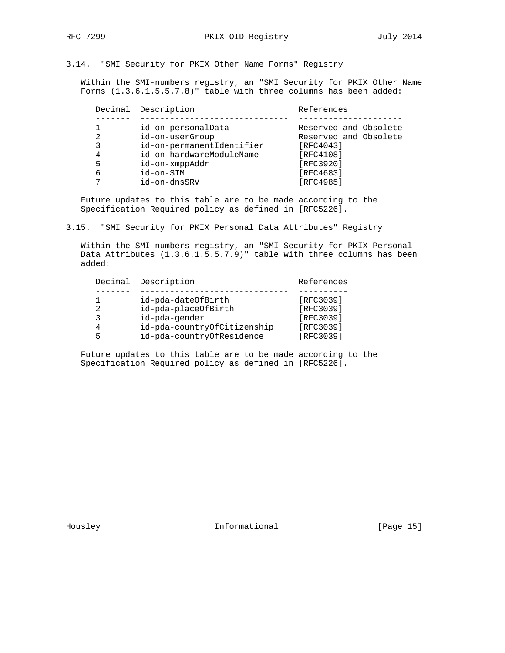# 3.14. "SMI Security for PKIX Other Name Forms" Registry

 Within the SMI-numbers registry, an "SMI Security for PKIX Other Name Forms (1.3.6.1.5.5.7.8)" table with three columns has been added:

|   | Decimal Description       | References            |
|---|---------------------------|-----------------------|
|   |                           |                       |
|   | id-on-personalData        | Reserved and Obsolete |
| 2 | id-on-userGroup           | Reserved and Obsolete |
| 3 | id-on-permanentIdentifier | [RFC4043]             |
| 4 | id-on-hardwareModuleName  | [RFC4108]             |
| 5 | id-on-xmppAddr            | [RFC3920]             |
| 6 | id-on-SIM                 | [RFC4683]             |
|   | id-on-dnsSRV              | [RFC4985]             |
|   |                           |                       |

 Future updates to this table are to be made according to the Specification Required policy as defined in [RFC5226].

3.15. "SMI Security for PKIX Personal Data Attributes" Registry

 Within the SMI-numbers registry, an "SMI Security for PKIX Personal Data Attributes (1.3.6.1.5.5.7.9)" table with three columns has been added:

| [RFC3039]<br>id-pda-dateOfBirth<br>[RFC3039]<br>id-pda-placeOfBirth<br>っ<br>[RFC3039]<br>id-pda-gender<br>ς<br>[RFC3039]<br>id-pda-countryOfCitizenship<br>4 |  | Decimal Description | References |
|--------------------------------------------------------------------------------------------------------------------------------------------------------------|--|---------------------|------------|
| [RFC3039]<br>id-pda-countryOfResidence<br>5                                                                                                                  |  |                     |            |

 Future updates to this table are to be made according to the Specification Required policy as defined in [RFC5226].

Housley **Informational** [Page 15]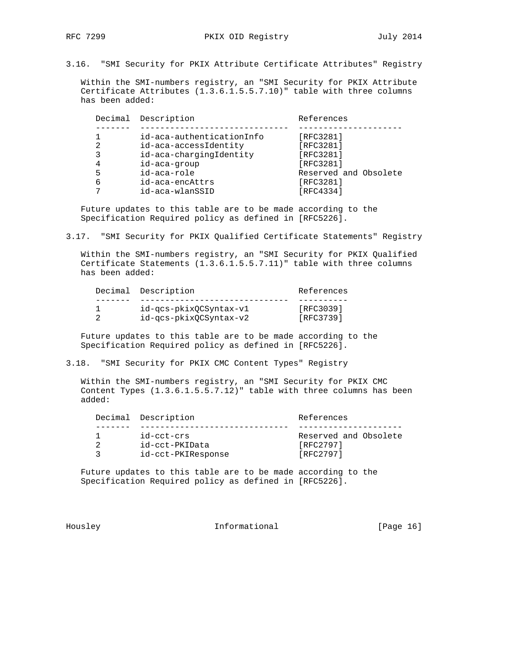3.16. "SMI Security for PKIX Attribute Certificate Attributes" Registry

 Within the SMI-numbers registry, an "SMI Security for PKIX Attribute Certificate Attributes (1.3.6.1.5.5.7.10)" table with three columns has been added:

|   | Decimal Description       | References            |
|---|---------------------------|-----------------------|
|   |                           |                       |
|   | id-aca-authenticationInfo | [RFC3281]             |
| 2 | id-aca-accessIdentity     | [RFC3281]             |
|   | id-aca-chargingIdentity   | [RFC3281]             |
| 4 | id-aca-group              | [RFC3281]             |
| 5 | id-aca-role               | Reserved and Obsolete |
| 6 | id-aca-encAttrs           | [RFC3281]             |
|   | id-aca-wlanSSID           | [RFC4334]             |

 Future updates to this table are to be made according to the Specification Required policy as defined in [RFC5226].

3.17. "SMI Security for PKIX Qualified Certificate Statements" Registry

 Within the SMI-numbers registry, an "SMI Security for PKIX Qualified Certificate Statements (1.3.6.1.5.5.7.11)" table with three columns has been added:

|  | Decimal Description    | References |
|--|------------------------|------------|
|  |                        |            |
|  | id-gcs-pkixOCSyntax-v1 | [RFC3039]  |
|  | id-gcs-pkixOCSyntax-v2 | [RFC3739]  |

 Future updates to this table are to be made according to the Specification Required policy as defined in [RFC5226].

3.18. "SMI Security for PKIX CMC Content Types" Registry

 Within the SMI-numbers registry, an "SMI Security for PKIX CMC Content Types (1.3.6.1.5.5.7.12)" table with three columns has been added:

|  | Decimal Description | References            |
|--|---------------------|-----------------------|
|  |                     |                       |
|  | id-cct-crs          | Reserved and Obsolete |
|  | id-cct-PKIData      | [RFC2797]             |
|  | id-cct-PKIResponse  | [RFC2797]             |

 Future updates to this table are to be made according to the Specification Required policy as defined in [RFC5226].

Housley **Informational** [Page 16]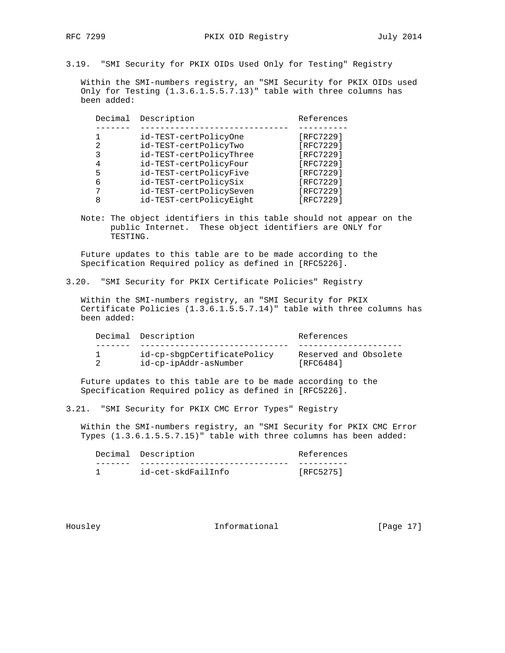3.19. "SMI Security for PKIX OIDs Used Only for Testing" Registry

 Within the SMI-numbers registry, an "SMI Security for PKIX OIDs used Only for Testing (1.3.6.1.5.5.7.13)" table with three columns has been added:

| Decimal | Description             | References |
|---------|-------------------------|------------|
|         |                         |            |
|         | id-TEST-certPolicyOne   | [RFC7229]  |
| 2       | id-TEST-certPolicyTwo   | [RFC7229]  |
| 3       | id-TEST-certPolicyThree | [RFC7229]  |
| 4       | id-TEST-certPolicyFour  | [RFC7229]  |
| 5       | id-TEST-certPolicyFive  | [RFC7229]  |
| 6       | id-TEST-certPolicySix   | [RFC7229]  |
|         | id-TEST-certPolicySeven | [RFC7229]  |
| 8       | id-TEST-certPolicyEight | [RFC7229]  |
|         |                         |            |

 Note: The object identifiers in this table should not appear on the public Internet. These object identifiers are ONLY for TESTING.

 Future updates to this table are to be made according to the Specification Required policy as defined in [RFC5226].

#### 3.20. "SMI Security for PKIX Certificate Policies" Registry

 Within the SMI-numbers registry, an "SMI Security for PKIX Certificate Policies (1.3.6.1.5.5.7.14)" table with three columns has been added:

|  | Decimal Description         | References            |
|--|-----------------------------|-----------------------|
|  |                             |                       |
|  | id-cp-sbqpCertificatePolicy | Reserved and Obsolete |
|  | id-cp-ipAddr-asNumber       | [RFC6484]             |

 Future updates to this table are to be made according to the Specification Required policy as defined in [RFC5226].

3.21. "SMI Security for PKIX CMC Error Types" Registry

 Within the SMI-numbers registry, an "SMI Security for PKIX CMC Error Types (1.3.6.1.5.5.7.15)" table with three columns has been added:

|  | Decimal Description | References |
|--|---------------------|------------|
|  |                     |            |
|  | id-cet-skdFailInfo  | [RFC5275]  |

Housley **Informational** [Page 17]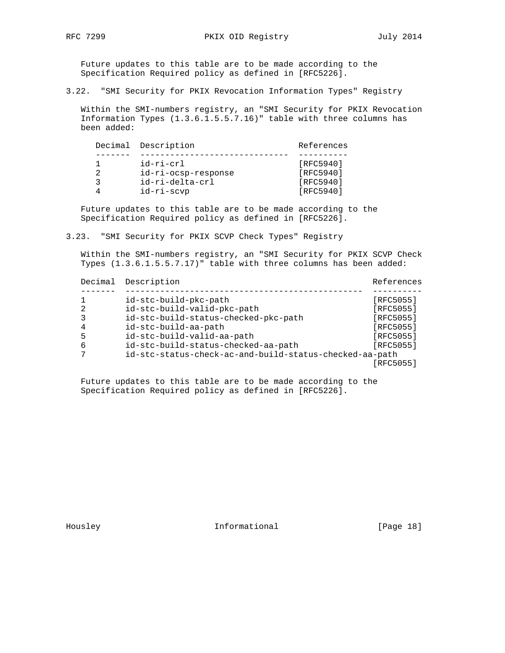Future updates to this table are to be made according to the Specification Required policy as defined in [RFC5226].

3.22. "SMI Security for PKIX Revocation Information Types" Registry

 Within the SMI-numbers registry, an "SMI Security for PKIX Revocation Information Types (1.3.6.1.5.5.7.16)" table with three columns has been added:

|  | Decimal Description | References |
|--|---------------------|------------|
|  |                     |            |
|  | id-ri-crl           | [RFC5940]  |
|  | id-ri-ocsp-response | [RFC5940]  |
|  | id-ri-delta-crl     | [RFC5940]  |
|  | id-ri-scvp          | [RFC5940]  |

 Future updates to this table are to be made according to the Specification Required policy as defined in [RFC5226].

3.23. "SMI Security for PKIX SCVP Check Types" Registry

 Within the SMI-numbers registry, an "SMI Security for PKIX SCVP Check Types (1.3.6.1.5.5.7.17)" table with three columns has been added:

|   | Decimal | Description                                             | References |  |
|---|---------|---------------------------------------------------------|------------|--|
|   |         |                                                         |            |  |
|   |         | id-stc-build-pkc-path                                   | [RFC5055]  |  |
| 2 |         | id-stc-build-valid-pkc-path                             | [RFC5055]  |  |
|   |         | id-stc-build-status-checked-pkc-path                    | [RFC5055]  |  |
| 4 |         | id-stc-build-aa-path                                    | [RFC5055]  |  |
| 5 |         | id-stc-build-valid-aa-path                              | [RFC5055]  |  |
| 6 |         | id-stc-build-status-checked-aa-path                     | [RFC5055]  |  |
|   |         | id-stc-status-check-ac-and-build-status-checked-aa-path |            |  |
|   |         |                                                         | [RFC5055]  |  |

 Future updates to this table are to be made according to the Specification Required policy as defined in [RFC5226].

Housley **Informational** [Page 18]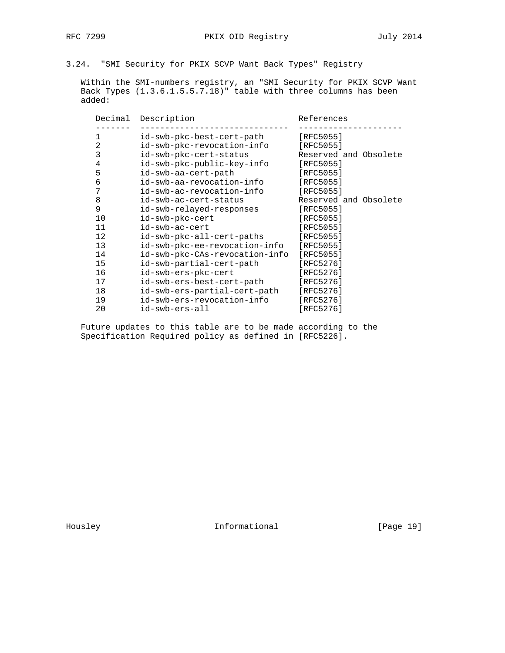3.24. "SMI Security for PKIX SCVP Want Back Types" Registry

 Within the SMI-numbers registry, an "SMI Security for PKIX SCVP Want Back Types (1.3.6.1.5.5.7.18)" table with three columns has been added:

| Decimal        | Description                    | References            |
|----------------|--------------------------------|-----------------------|
| $\mathbf{1}$   | id-swb-pkc-best-cert-path      | [RFC5055]             |
| $\overline{2}$ | id-swb-pkc-revocation-info     | [REC5055]             |
| 3              | id-swb-pkc-cert-status         | Reserved and Obsolete |
| 4              | id-swb-pkc-public-key-info     | [RFC5055]             |
| 5              | id-swb-aa-cert-path            | [RFC5055]             |
| 6              | id-swb-aa-revocation-info      | [REC5055]             |
| 7              | id-swb-ac-revocation-info      | [ $RFC5055$ ]         |
| 8              | id-swb-ac-cert-status          | Reserved and Obsolete |
| 9              | id-swb-relayed-responses       | [REC5055]             |
| 10             | id-swb-pkc-cert                | [RFC5055]             |
| 11             | id-swb-ac-cert                 | [RTC5055]             |
| 12             | id-swb-pkc-all-cert-paths      | [ $RFC5055$ ]         |
| 13             | id-swb-pkc-ee-revocation-info  | [RFC5055]             |
| 14             | id-swb-pkc-CAs-revocation-info | [REC5055]             |
| 15             | id-swb-partial-cert-path       | [RFC5276]             |
| 16             | id-swb-ers-pkc-cert            | [RFC5276]             |
| 17             | id-swb-ers-best-cert-path      | [RFC5276]             |
| 18             | id-swb-ers-partial-cert-path   | [REC5276]             |
| 19             | id-swb-ers-revocation-info     | [RFC5276]             |
| 20             | id-swb-ers-all                 | [RFC5276]             |
|                |                                |                       |

 Future updates to this table are to be made according to the Specification Required policy as defined in [RFC5226].

Housley **Informational** [Page 19]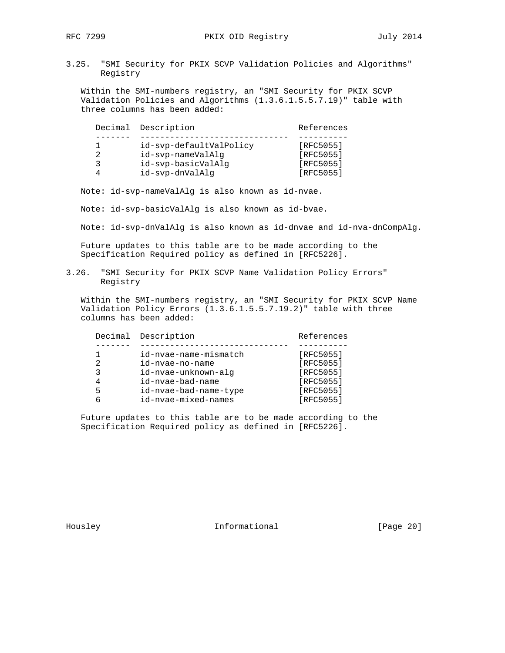3.25. "SMI Security for PKIX SCVP Validation Policies and Algorithms" Registry

 Within the SMI-numbers registry, an "SMI Security for PKIX SCVP Validation Policies and Algorithms (1.3.6.1.5.5.7.19)" table with three columns has been added:

|                | Decimal Description     | References |
|----------------|-------------------------|------------|
|                |                         |            |
|                | id-svp-defaultValPolicy | [RFC5055]  |
| $\mathfrak{D}$ | id-svp-nameValAlq       | [RFC5055]  |
| ર              | id-svp-basicValAlq      | [RFC5055]  |
|                | id-svp-dnValAlq         | [RFC5055]  |

Note: id-svp-nameValAlg is also known as id-nvae.

Note: id-svp-basicValAlg is also known as id-bvae.

Note: id-svp-dnValAlg is also known as id-dnvae and id-nva-dnCompAlg.

 Future updates to this table are to be made according to the Specification Required policy as defined in [RFC5226].

3.26. "SMI Security for PKIX SCVP Name Validation Policy Errors" Registry

 Within the SMI-numbers registry, an "SMI Security for PKIX SCVP Name Validation Policy Errors (1.3.6.1.5.5.7.19.2)" table with three columns has been added:

|   | Decimal Description   | References  |
|---|-----------------------|-------------|
|   |                       |             |
|   | id-nvae-name-mismatch | [RFC5055]   |
| 2 | id-nvae-no-name       | [RFC5055]   |
| 3 | id-nvae-unknown-alg   | $[RFC5055]$ |
| 4 | id-nvae-bad-name      | [RFC5055]   |
| 5 | id-nvae-bad-name-type | $[RFC5055]$ |
| 6 | id-nvae-mixed-names   | [RFC5055]   |
|   |                       |             |

 Future updates to this table are to be made according to the Specification Required policy as defined in [RFC5226].

Housley **Informational** [Page 20]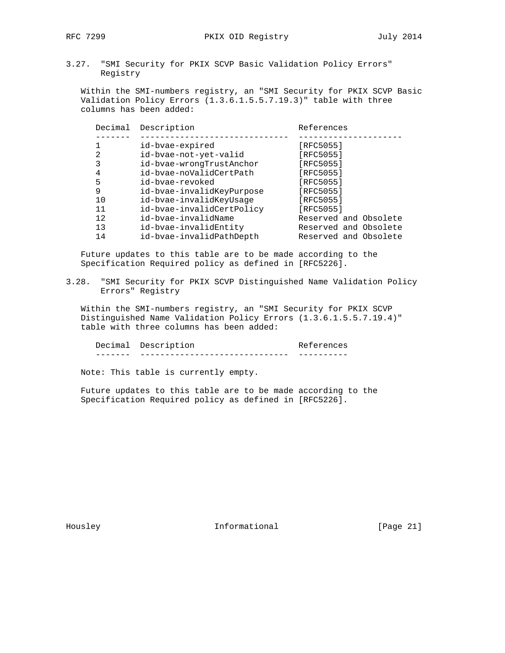3.27. "SMI Security for PKIX SCVP Basic Validation Policy Errors" Registry

 Within the SMI-numbers registry, an "SMI Security for PKIX SCVP Basic Validation Policy Errors (1.3.6.1.5.5.7.19.3)" table with three columns has been added:

| Decimal | Description               | References            |
|---------|---------------------------|-----------------------|
|         |                           |                       |
|         | id-bvae-expired           | [RFC5055]             |
| 2       | id-bvae-not-yet-valid     | [RFC5055]             |
| 3       | id-bvae-wrongTrustAnchor  | [RFC5055]             |
| 4       | id-bvae-noValidCertPath   | [RFC5055]             |
| 5       | id-byae-revoked           | [RFC5055]             |
| 9       | id-bvae-invalidKeyPurpose | [RFC5055]             |
| 10      | id-bvae-invalidKeyUsaqe   | [RFC5055]             |
| 11      | id-bvae-invalidCertPolicy | [RFC5055]             |
| 12.     | id-bvae-invalidName       | Reserved and Obsolete |
| 13      | id-bvae-invalidEntity     | Reserved and Obsolete |
| 14      | id-bvae-invalidPathDepth  | Reserved and Obsolete |

 Future updates to this table are to be made according to the Specification Required policy as defined in [RFC5226].

3.28. "SMI Security for PKIX SCVP Distinguished Name Validation Policy Errors" Registry

 Within the SMI-numbers registry, an "SMI Security for PKIX SCVP Distinguished Name Validation Policy Errors (1.3.6.1.5.5.7.19.4)" table with three columns has been added:

Decimal Description **References** ------- ------------------------------ ----------

Note: This table is currently empty.

 Future updates to this table are to be made according to the Specification Required policy as defined in [RFC5226].

Housley **Informational** [Page 21]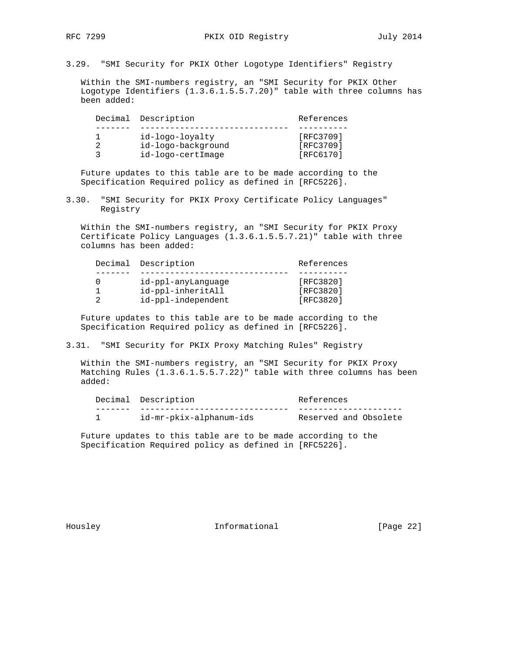3.29. "SMI Security for PKIX Other Logotype Identifiers" Registry

 Within the SMI-numbers registry, an "SMI Security for PKIX Other Logotype Identifiers (1.3.6.1.5.5.7.20)" table with three columns has been added:

|   | Decimal Description | References |
|---|---------------------|------------|
|   |                     |            |
|   | id-logo-loyalty     | [RFC3709]  |
|   | id-logo-background  | [RFC3709]  |
| ર | id-logo-certImage   | [RFC6170]  |

 Future updates to this table are to be made according to the Specification Required policy as defined in [RFC5226].

3.30. "SMI Security for PKIX Proxy Certificate Policy Languages" Registry

 Within the SMI-numbers registry, an "SMI Security for PKIX Proxy Certificate Policy Languages (1.3.6.1.5.5.7.21)" table with three columns has been added:

|  | Decimal Description | References |
|--|---------------------|------------|
|  |                     |            |
|  | id-ppl-anyLanquage  | [RFC3820]  |
|  | id-ppl-inheritAll   | [RFC3820]  |
|  | id-ppl-independent  | [RFC3820]  |

 Future updates to this table are to be made according to the Specification Required policy as defined in [RFC5226].

3.31. "SMI Security for PKIX Proxy Matching Rules" Registry

 Within the SMI-numbers registry, an "SMI Security for PKIX Proxy Matching Rules (1.3.6.1.5.5.7.22)" table with three columns has been added:

|  | Decimal Description     | References            |
|--|-------------------------|-----------------------|
|  |                         |                       |
|  | id-mr-pkix-alphanum-ids | Reserved and Obsolete |

 Future updates to this table are to be made according to the Specification Required policy as defined in [RFC5226].

Housley **Informational** [Page 22]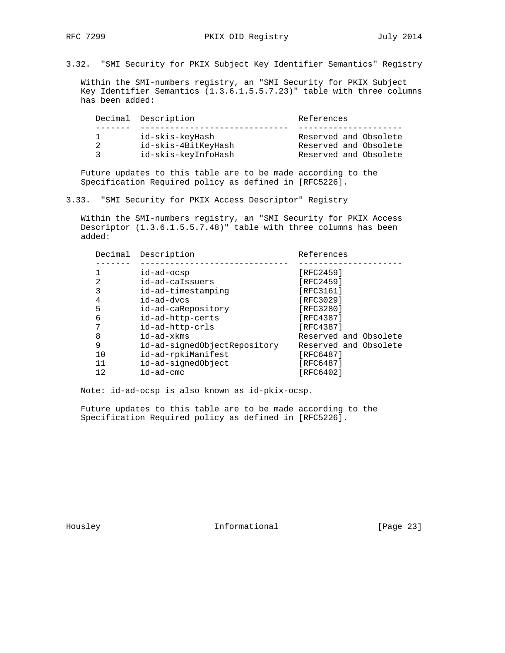3.32. "SMI Security for PKIX Subject Key Identifier Semantics" Registry

 Within the SMI-numbers registry, an "SMI Security for PKIX Subject Key Identifier Semantics (1.3.6.1.5.5.7.23)" table with three columns has been added:

|     | Decimal Description | References            |  |
|-----|---------------------|-----------------------|--|
|     |                     |                       |  |
| E 1 | id-skis-keyHash     | Reserved and Obsolete |  |
| 2   | id-skis-4BitKeyHash | Reserved and Obsolete |  |
| 2   | id-skis-keyInfoHash | Reserved and Obsolete |  |

 Future updates to this table are to be made according to the Specification Required policy as defined in [RFC5226].

3.33. "SMI Security for PKIX Access Descriptor" Registry

 Within the SMI-numbers registry, an "SMI Security for PKIX Access Descriptor (1.3.6.1.5.5.7.48)" table with three columns has been added:

| Decimal | Description                  | References            |
|---------|------------------------------|-----------------------|
|         |                              |                       |
|         | id-ad-ocsp                   | [RFC2459]             |
| 2       | id-ad-caIssuers              | [RFC2459]             |
| 3       | id-ad-timestamping           | [RFC3161]             |
| 4       | id-ad-dvcs                   | [RFC3029]             |
| 5       | id-ad-caRepository           | [RFC3280]             |
| 6       | id-ad-http-certs             | [RFC4387]             |
| 7       | id-ad-http-crls              | [RFC4387]             |
| 8       | $id$ -ad- $x$ kms            | Reserved and Obsolete |
| 9       | id-ad-signedObjectRepository | Reserved and Obsolete |
| 10      | id-ad-rpkiManifest           | [RFC6487]             |
| 11      | id-ad-signedObject           | [RFC6487]             |
| 12      | id-ad-cmc                    | [RFC6402]             |

Note: id-ad-ocsp is also known as id-pkix-ocsp.

 Future updates to this table are to be made according to the Specification Required policy as defined in [RFC5226].

Housley **Informational** [Page 23]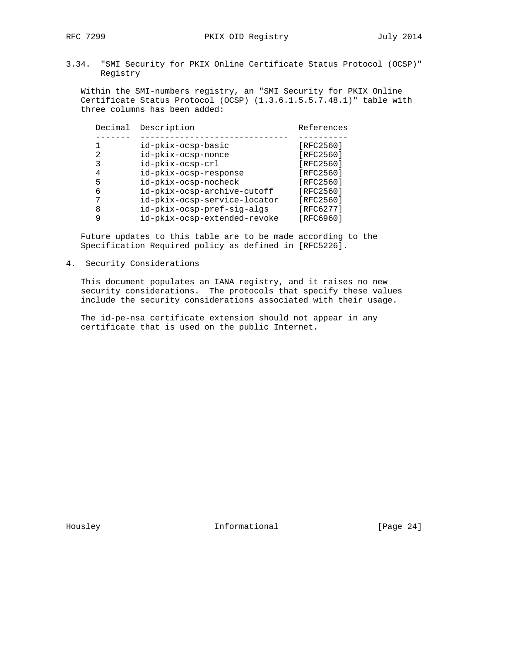3.34. "SMI Security for PKIX Online Certificate Status Protocol (OCSP)" Registry

 Within the SMI-numbers registry, an "SMI Security for PKIX Online Certificate Status Protocol (OCSP) (1.3.6.1.5.5.7.48.1)" table with three columns has been added:

|   | Decimal Description          | References    |
|---|------------------------------|---------------|
|   |                              |               |
|   | id-pkix-ocsp-basic           | [ $RFC2560$ ] |
| 2 | id-pkix-ocsp-nonce           | [ $RFC2560$ ] |
| 3 | id-pkix-ocsp-crl             | [ $RFC2560$ ] |
| 4 | id-pkix-ocsp-response        | [ $RFC2560$ ] |
| 5 | id-pkix-ocsp-nocheck         | [RFC2560]     |
| 6 | id-pkix-ocsp-archive-cutoff  | [RFC2560]     |
|   | id-pkix-ocsp-service-locator | [ $RFC2560$ ] |
| 8 | id-pkix-ocsp-pref-sig-algs   | [RFC6277]     |
|   | id-pkix-ocsp-extended-revoke | [RFC6960]     |

 Future updates to this table are to be made according to the Specification Required policy as defined in [RFC5226].

4. Security Considerations

 This document populates an IANA registry, and it raises no new security considerations. The protocols that specify these values include the security considerations associated with their usage.

 The id-pe-nsa certificate extension should not appear in any certificate that is used on the public Internet.

Housley **Informational** [Page 24]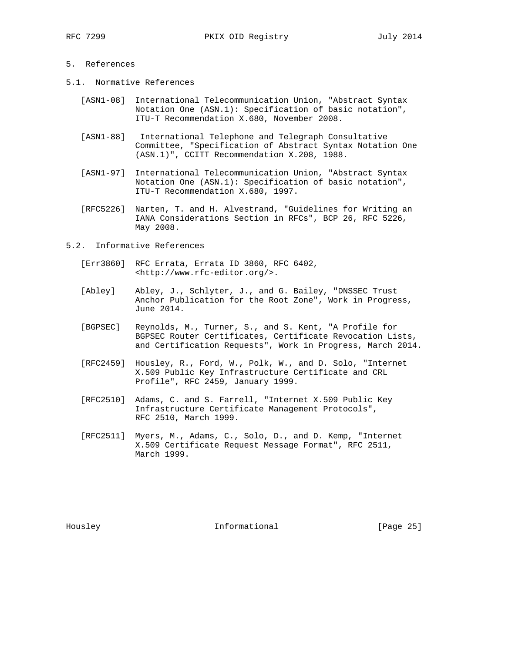### 5. References

- 5.1. Normative References
	- [ASN1-08] International Telecommunication Union, "Abstract Syntax Notation One (ASN.1): Specification of basic notation", ITU-T Recommendation X.680, November 2008.
	- [ASN1-88] International Telephone and Telegraph Consultative Committee, "Specification of Abstract Syntax Notation One (ASN.1)", CCITT Recommendation X.208, 1988.
	- [ASN1-97] International Telecommunication Union, "Abstract Syntax Notation One (ASN.1): Specification of basic notation", ITU-T Recommendation X.680, 1997.
	- [RFC5226] Narten, T. and H. Alvestrand, "Guidelines for Writing an IANA Considerations Section in RFCs", BCP 26, RFC 5226, May 2008.
- 5.2. Informative References
	- [Err3860] RFC Errata, Errata ID 3860, RFC 6402, <http://www.rfc-editor.org/>.
	- [Abley] Abley, J., Schlyter, J., and G. Bailey, "DNSSEC Trust Anchor Publication for the Root Zone", Work in Progress, June 2014.
	- [BGPSEC] Reynolds, M., Turner, S., and S. Kent, "A Profile for BGPSEC Router Certificates, Certificate Revocation Lists, and Certification Requests", Work in Progress, March 2014.
	- [RFC2459] Housley, R., Ford, W., Polk, W., and D. Solo, "Internet X.509 Public Key Infrastructure Certificate and CRL Profile", RFC 2459, January 1999.
	- [RFC2510] Adams, C. and S. Farrell, "Internet X.509 Public Key Infrastructure Certificate Management Protocols", RFC 2510, March 1999.
	- [RFC2511] Myers, M., Adams, C., Solo, D., and D. Kemp, "Internet X.509 Certificate Request Message Format", RFC 2511, March 1999.

Housley **Informational** [Page 25]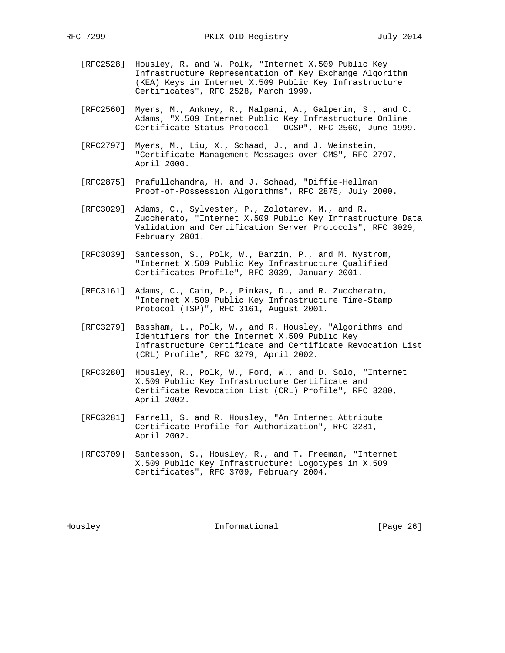- [RFC2528] Housley, R. and W. Polk, "Internet X.509 Public Key Infrastructure Representation of Key Exchange Algorithm (KEA) Keys in Internet X.509 Public Key Infrastructure Certificates", RFC 2528, March 1999.
- [RFC2560] Myers, M., Ankney, R., Malpani, A., Galperin, S., and C. Adams, "X.509 Internet Public Key Infrastructure Online Certificate Status Protocol - OCSP", RFC 2560, June 1999.
- [RFC2797] Myers, M., Liu, X., Schaad, J., and J. Weinstein, "Certificate Management Messages over CMS", RFC 2797, April 2000.
- [RFC2875] Prafullchandra, H. and J. Schaad, "Diffie-Hellman Proof-of-Possession Algorithms", RFC 2875, July 2000.
- [RFC3029] Adams, C., Sylvester, P., Zolotarev, M., and R. Zuccherato, "Internet X.509 Public Key Infrastructure Data Validation and Certification Server Protocols", RFC 3029, February 2001.
- [RFC3039] Santesson, S., Polk, W., Barzin, P., and M. Nystrom, "Internet X.509 Public Key Infrastructure Qualified Certificates Profile", RFC 3039, January 2001.
- [RFC3161] Adams, C., Cain, P., Pinkas, D., and R. Zuccherato, "Internet X.509 Public Key Infrastructure Time-Stamp Protocol (TSP)", RFC 3161, August 2001.
- [RFC3279] Bassham, L., Polk, W., and R. Housley, "Algorithms and Identifiers for the Internet X.509 Public Key Infrastructure Certificate and Certificate Revocation List (CRL) Profile", RFC 3279, April 2002.
- [RFC3280] Housley, R., Polk, W., Ford, W., and D. Solo, "Internet X.509 Public Key Infrastructure Certificate and Certificate Revocation List (CRL) Profile", RFC 3280, April 2002.
- [RFC3281] Farrell, S. and R. Housley, "An Internet Attribute Certificate Profile for Authorization", RFC 3281, April 2002.
- [RFC3709] Santesson, S., Housley, R., and T. Freeman, "Internet X.509 Public Key Infrastructure: Logotypes in X.509 Certificates", RFC 3709, February 2004.

Housley Informational [Page 26]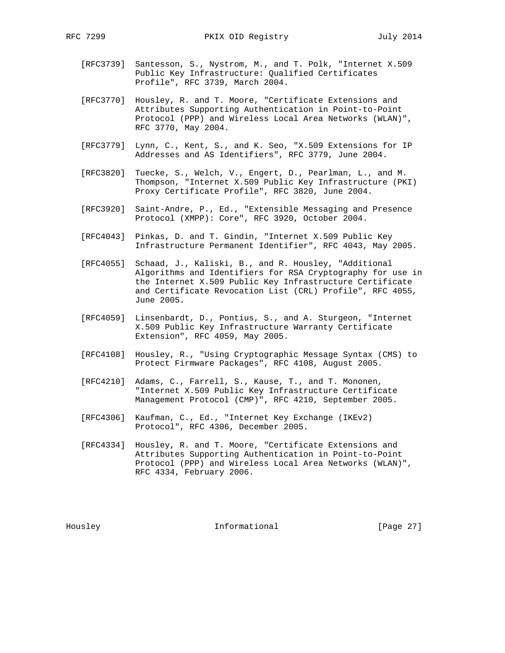- [RFC3739] Santesson, S., Nystrom, M., and T. Polk, "Internet X.509 Public Key Infrastructure: Qualified Certificates Profile", RFC 3739, March 2004.
- [RFC3770] Housley, R. and T. Moore, "Certificate Extensions and Attributes Supporting Authentication in Point-to-Point Protocol (PPP) and Wireless Local Area Networks (WLAN)", RFC 3770, May 2004.
- [RFC3779] Lynn, C., Kent, S., and K. Seo, "X.509 Extensions for IP Addresses and AS Identifiers", RFC 3779, June 2004.
- [RFC3820] Tuecke, S., Welch, V., Engert, D., Pearlman, L., and M. Thompson, "Internet X.509 Public Key Infrastructure (PKI) Proxy Certificate Profile", RFC 3820, June 2004.
- [RFC3920] Saint-Andre, P., Ed., "Extensible Messaging and Presence Protocol (XMPP): Core", RFC 3920, October 2004.
- [RFC4043] Pinkas, D. and T. Gindin, "Internet X.509 Public Key Infrastructure Permanent Identifier", RFC 4043, May 2005.
- [RFC4055] Schaad, J., Kaliski, B., and R. Housley, "Additional Algorithms and Identifiers for RSA Cryptography for use in the Internet X.509 Public Key Infrastructure Certificate and Certificate Revocation List (CRL) Profile", RFC 4055, June 2005.
- [RFC4059] Linsenbardt, D., Pontius, S., and A. Sturgeon, "Internet X.509 Public Key Infrastructure Warranty Certificate Extension", RFC 4059, May 2005.
- [RFC4108] Housley, R., "Using Cryptographic Message Syntax (CMS) to Protect Firmware Packages", RFC 4108, August 2005.
- [RFC4210] Adams, C., Farrell, S., Kause, T., and T. Mononen, "Internet X.509 Public Key Infrastructure Certificate Management Protocol (CMP)", RFC 4210, September 2005.
- [RFC4306] Kaufman, C., Ed., "Internet Key Exchange (IKEv2) Protocol", RFC 4306, December 2005.
- [RFC4334] Housley, R. and T. Moore, "Certificate Extensions and Attributes Supporting Authentication in Point-to-Point Protocol (PPP) and Wireless Local Area Networks (WLAN)", RFC 4334, February 2006.

Housley **Informational** [Page 27]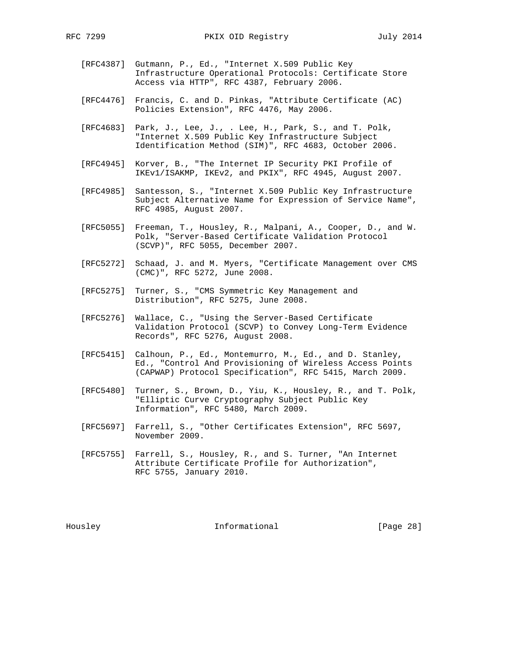- [RFC4387] Gutmann, P., Ed., "Internet X.509 Public Key Infrastructure Operational Protocols: Certificate Store Access via HTTP", RFC 4387, February 2006.
- [RFC4476] Francis, C. and D. Pinkas, "Attribute Certificate (AC) Policies Extension", RFC 4476, May 2006.
- [RFC4683] Park, J., Lee, J., . Lee, H., Park, S., and T. Polk, "Internet X.509 Public Key Infrastructure Subject Identification Method (SIM)", RFC 4683, October 2006.
- [RFC4945] Korver, B., "The Internet IP Security PKI Profile of IKEv1/ISAKMP, IKEv2, and PKIX", RFC 4945, August 2007.
- [RFC4985] Santesson, S., "Internet X.509 Public Key Infrastructure Subject Alternative Name for Expression of Service Name", RFC 4985, August 2007.
- [RFC5055] Freeman, T., Housley, R., Malpani, A., Cooper, D., and W. Polk, "Server-Based Certificate Validation Protocol (SCVP)", RFC 5055, December 2007.
- [RFC5272] Schaad, J. and M. Myers, "Certificate Management over CMS (CMC)", RFC 5272, June 2008.
- [RFC5275] Turner, S., "CMS Symmetric Key Management and Distribution", RFC 5275, June 2008.
- [RFC5276] Wallace, C., "Using the Server-Based Certificate Validation Protocol (SCVP) to Convey Long-Term Evidence Records", RFC 5276, August 2008.
- [RFC5415] Calhoun, P., Ed., Montemurro, M., Ed., and D. Stanley, Ed., "Control And Provisioning of Wireless Access Points (CAPWAP) Protocol Specification", RFC 5415, March 2009.
- [RFC5480] Turner, S., Brown, D., Yiu, K., Housley, R., and T. Polk, "Elliptic Curve Cryptography Subject Public Key Information", RFC 5480, March 2009.
- [RFC5697] Farrell, S., "Other Certificates Extension", RFC 5697, November 2009.
- [RFC5755] Farrell, S., Housley, R., and S. Turner, "An Internet Attribute Certificate Profile for Authorization", RFC 5755, January 2010.

Housley **Informational** [Page 28]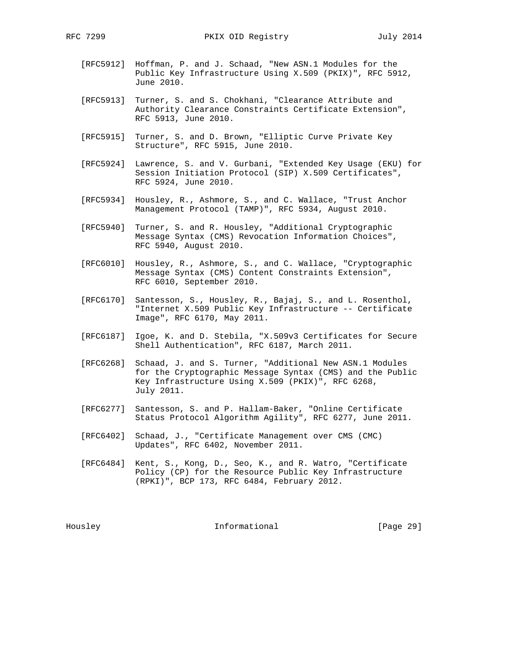- [RFC5912] Hoffman, P. and J. Schaad, "New ASN.1 Modules for the Public Key Infrastructure Using X.509 (PKIX)", RFC 5912, June 2010.
- [RFC5913] Turner, S. and S. Chokhani, "Clearance Attribute and Authority Clearance Constraints Certificate Extension", RFC 5913, June 2010.
- [RFC5915] Turner, S. and D. Brown, "Elliptic Curve Private Key Structure", RFC 5915, June 2010.
- [RFC5924] Lawrence, S. and V. Gurbani, "Extended Key Usage (EKU) for Session Initiation Protocol (SIP) X.509 Certificates", RFC 5924, June 2010.
- [RFC5934] Housley, R., Ashmore, S., and C. Wallace, "Trust Anchor Management Protocol (TAMP)", RFC 5934, August 2010.
- [RFC5940] Turner, S. and R. Housley, "Additional Cryptographic Message Syntax (CMS) Revocation Information Choices", RFC 5940, August 2010.
- [RFC6010] Housley, R., Ashmore, S., and C. Wallace, "Cryptographic Message Syntax (CMS) Content Constraints Extension", RFC 6010, September 2010.
- [RFC6170] Santesson, S., Housley, R., Bajaj, S., and L. Rosenthol, "Internet X.509 Public Key Infrastructure -- Certificate Image", RFC 6170, May 2011.
- [RFC6187] Igoe, K. and D. Stebila, "X.509v3 Certificates for Secure Shell Authentication", RFC 6187, March 2011.
- [RFC6268] Schaad, J. and S. Turner, "Additional New ASN.1 Modules for the Cryptographic Message Syntax (CMS) and the Public Key Infrastructure Using X.509 (PKIX)", RFC 6268, July 2011.
- [RFC6277] Santesson, S. and P. Hallam-Baker, "Online Certificate Status Protocol Algorithm Agility", RFC 6277, June 2011.
- [RFC6402] Schaad, J., "Certificate Management over CMS (CMC) Updates", RFC 6402, November 2011.
- [RFC6484] Kent, S., Kong, D., Seo, K., and R. Watro, "Certificate Policy (CP) for the Resource Public Key Infrastructure (RPKI)", BCP 173, RFC 6484, February 2012.

Housley 100 Informational [Page 29]